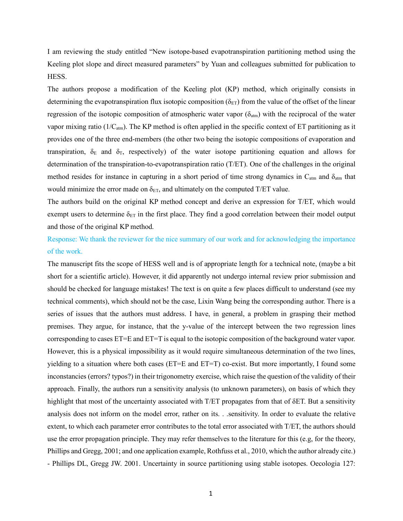I am reviewing the study entitled "New isotope-based evapotranspiration partitioning method using the Keeling plot slope and direct measured parameters" by Yuan and colleagues submitted for publication to HESS.

The authors propose a modification of the Keeling plot (KP) method, which originally consists in determining the evapotranspiration flux isotopic composition ( $\delta_{ET}$ ) from the value of the offset of the linear regression of the isotopic composition of atmospheric water vapor  $(\delta_{\text{atm}})$  with the reciprocal of the water vapor mixing ratio ( $1/C_{atm}$ ). The KP method is often applied in the specific context of ET partitioning as it provides one of the three end-members (the other two being the isotopic compositions of evaporation and transpiration,  $\delta_E$  and  $\delta_T$ , respectively) of the water isotope partitioning equation and allows for determination of the transpiration-to-evapotranspiration ratio (T/ET). One of the challenges in the original method resides for instance in capturing in a short period of time strong dynamics in  $C_{\text{atm}}$  and  $\delta_{\text{atm}}$  that would minimize the error made on  $\delta_{ET}$ , and ultimately on the computed T/ET value.

The authors build on the original KP method concept and derive an expression for T/ET, which would exempt users to determine  $\delta_{ET}$  in the first place. They find a good correlation between their model output and those of the original KP method.

Response: We thank the reviewer for the nice summary of our work and for acknowledging the importance of the work.

The manuscript fits the scope of HESS well and is of appropriate length for a technical note, (maybe a bit short for a scientific article). However, it did apparently not undergo internal review prior submission and should be checked for language mistakes! The text is on quite a few places difficult to understand (see my technical comments), which should not be the case, Lixin Wang being the corresponding author. There is a series of issues that the authors must address. I have, in general, a problem in grasping their method premises. They argue, for instance, that the y-value of the intercept between the two regression lines corresponding to cases ET=E and ET=T is equal to the isotopic composition of the background water vapor. However, this is a physical impossibility as it would require simultaneous determination of the two lines, yielding to a situation where both cases (ET=E and ET=T) co-exist. But more importantly, I found some inconstancies (errors? typos?) in their trigonometry exercise, which raise the question of the validity of their approach. Finally, the authors run a sensitivity analysis (to unknown parameters), on basis of which they highlight that most of the uncertainty associated with T/ET propagates from that of δET. But a sensitivity analysis does not inform on the model error, rather on its. . .sensitivity. In order to evaluate the relative extent, to which each parameter error contributes to the total error associated with T/ET, the authors should use the error propagation principle. They may refer themselves to the literature for this (e.g, for the theory, Phillips and Gregg, 2001; and one application example, Rothfuss et al., 2010, which the author already cite.) - Phillips DL, Gregg JW. 2001. Uncertainty in source partitioning using stable isotopes. Oecologia 127: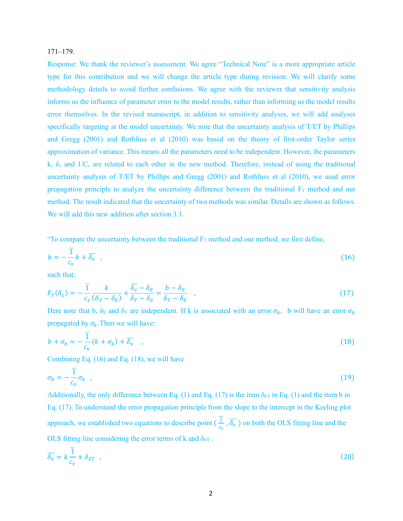### 171–179.

Response: We thank the reviewer's assessment. We agree "Technical Note" is a more appropriate article type for this contribution and we will change the article type during revision. We will clarify some methodology details to avoid further confusions. We agree with the reviewer that sensitivity analysis informs us the influence of parameter error to the model results, rather than informing us the model results error themselves. In the revised manuscript, in addition to sensitivity analyses, we will add analyses specifically targeting at the model uncertainty. We note that the uncertainty analysis of T/ET by Phillips and Gregg (2001) and Rothfuss et al (2010) was based on the theory of first-order Taylor series approximation of variance. This means all the parameters need to be independent. However, the parameters k,  $\delta_{\rm v}$  and  $1/C_{\rm v}$  are related to each other in the new method. Therefore, instead of using the traditional uncertainty analysis of T/ET by Phillips and Gregg (2001) and Rothfuss et al (2010), we used error propagation principle to analyze the uncertainty difference between the traditional  $F<sub>T</sub>$  method and our method. The result indicated that the uncertainty of two methods was similar. Details are shown as follows. We will add this new addition after section 3.1.

"To compare the uncertainty between the traditional  $F_T$  method and our method, we first define,

$$
b = -\frac{\overline{1}}{c_v}k + \overline{\delta_v} \quad , \tag{16}
$$

such that:

$$
F_T(\delta_v) = -\frac{\overline{1}}{c_v} \frac{k}{(\delta_T - \delta_E)} + \frac{\overline{\delta_v} - \delta_E}{\delta_T - \delta_E} = \frac{b - \delta_E}{\delta_T - \delta_E} \quad , \tag{17}
$$

Here note that b,  $\delta_E$  and  $\delta_T$  are independent. If k is associated with an error  $\sigma_k$ , b will have an error  $\sigma_b$ propagated by  $\sigma_k$ . Then we will have:

$$
b + \sigma_b = -\frac{\overline{1}}{c_v}(k + \sigma_k) + \overline{\delta_v} \quad , \tag{18}
$$

Combining Eq. (16) and Eq. (18), we will have

$$
\sigma_b = -\frac{1}{c_v} \sigma_k \quad , \tag{19}
$$

Additionally, the only difference between Eq. (1) and Eq. (17) is the item  $\delta_{ET}$  in Eq. (1) and the item b in Eq. (17). To understand the error propagation principle from the slope to the intercept in the Keeling plot approach, we established two equations to describe point ( $\frac{1}{c_v}$ )  $\frac{1}{c}$ ,  $\overline{\delta_v}$ ) on both the OLS fitting line and the OLS fitting line considering the error terms of k and  $\delta_{ET}$ .

$$
\overline{\delta_v} = k \frac{\overline{1}}{c_v} + \delta_{ET} \quad , \tag{20}
$$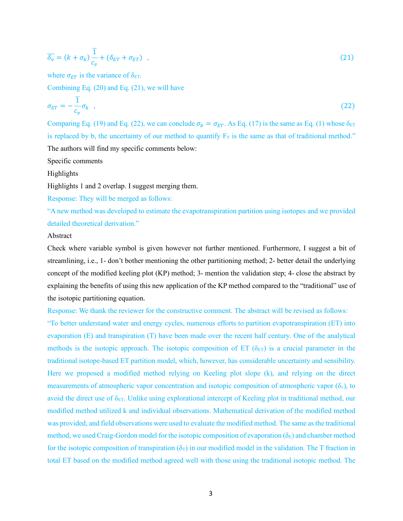$$
\overline{\delta_v} = (k + \sigma_k) \frac{\overline{1}}{c_v} + (\delta_{ET} + \sigma_{ET}) \quad , \tag{21}
$$

where  $\sigma_{ET}$  is the variance of  $\delta_{ET}$ .

Combining Eq. (20) and Eq. (21), we will have

$$
\sigma_{ET} = -\frac{\overline{1}}{c_v} \sigma_k \quad , \tag{22}
$$

Comparing Eq. (19) and Eq. (22), we can conclude  $\sigma_b = \sigma_{ET}$ . As Eq. (17) is the same as Eq. (1) whose  $\delta_{ET}$ is replaced by b, the uncertainty of our method to quantify  $F_T$  is the same as that of traditional method." The authors will find my specific comments below:

Specific comments

Highlights

Highlights 1 and 2 overlap. I suggest merging them.

Response: They will be merged as follows:

"A new method was developed to estimate the evapotranspiration partition using isotopes and we provided detailed theoretical derivation."

### Abstract

Check where variable symbol is given however not further mentioned. Furthermore, I suggest a bit of streamlining, i.e., 1- don't bother mentioning the other partitioning method; 2- better detail the underlying concept of the modified keeling plot (KP) method; 3- mention the validation step; 4- close the abstract by explaining the benefits of using this new application of the KP method compared to the "traditional" use of the isotopic partitioning equation.

Response: We thank the reviewer for the constructive comment. The abstract will be revised as follows:

"To better understand water and energy cycles, numerous efforts to partition evapotranspiration (ET) into evaporation (E) and transpiration (T) have been made over the recent half century. One of the analytical methods is the isotopic approach. The isotopic composition of ET ( $\delta$ <sub>ET</sub>) is a crucial parameter in the traditional isotope-based ET partition model, which, however, has considerable uncertainty and sensibility. Here we proposed a modified method relying on Keeling plot slope (k), and relying on the direct measurements of atmospheric vapor concentration and isotopic composition of atmospheric vapor  $(\delta_y)$ , to avoid the direct use of  $\delta_{ET}$ . Unlike using explorational intercept of Keeling plot in traditional method, our modified method utilized k and individual observations. Mathematical derivation of the modified method was provided, and field observations were used to evaluate the modified method. The same as the traditional method, we used Craig-Gordon model for the isotopic composition of evaporation ( $\delta_E$ ) and chamber method for the isotopic composition of transpiration ( $\delta_T$ ) in our modified model in the validation. The T fraction in total ET based on the modified method agreed well with those using the traditional isotopic method. The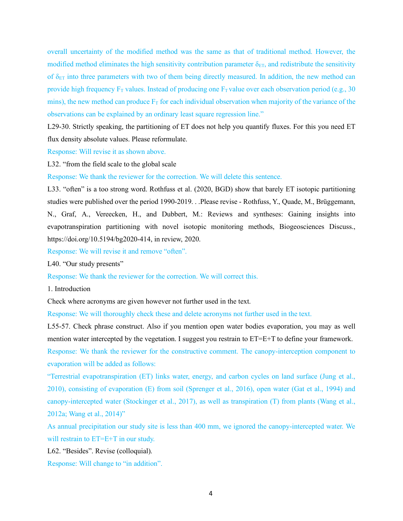overall uncertainty of the modified method was the same as that of traditional method. However, the modified method eliminates the high sensitivity contribution parameter  $\delta_{ET}$ , and redistribute the sensitivity of  $\delta_{ET}$  into three parameters with two of them being directly measured. In addition, the new method can provide high frequency  $F_T$  values. Instead of producing one  $F_T$  value over each observation period (e.g., 30) mins), the new method can produce  $F_T$  for each individual observation when majority of the variance of the observations can be explained by an ordinary least square regression line."

L29-30. Strictly speaking, the partitioning of ET does not help you quantify fluxes. For this you need ET flux density absolute values. Please reformulate.

Response: Will revise it as shown above.

L32. "from the field scale to the global scale

Response: We thank the reviewer for the correction. We will delete this sentence.

L33. "often" is a too strong word. Rothfuss et al. (2020, BGD) show that barely ET isotopic partitioning studies were published over the period 1990-2019. . .Please revise - Rothfuss, Y., Quade, M., Brüggemann, N., Graf, A., Vereecken, H., and Dubbert, M.: Reviews and syntheses: Gaining insights into evapotranspiration partitioning with novel isotopic monitoring methods, Biogeosciences Discuss., https://doi.org/10.5194/bg2020-414, in review, 2020.

Response: We will revise it and remove "often".

L40. "Our study presents"

Response: We thank the reviewer for the correction. We will correct this.

1. Introduction

Check where acronyms are given however not further used in the text.

Response: We will thoroughly check these and delete acronyms not further used in the text.

L55-57. Check phrase construct. Also if you mention open water bodies evaporation, you may as well mention water intercepted by the vegetation. I suggest you restrain to ET=E+T to define your framework.

Response: We thank the reviewer for the constructive comment. The canopy-interception component to evaporation will be added as follows:

"Terrestrial evapotranspiration (ET) links water, energy, and carbon cycles on land surface (Jung et al., 2010), consisting of evaporation (E) from soil (Sprenger et al., 2016), open water (Gat et al., 1994) and canopy-intercepted water (Stockinger et al., 2017), as well as transpiration (T) from plants (Wang et al., 2012a; Wang et al., 2014)"

As annual precipitation our study site is less than 400 mm, we ignored the canopy-intercepted water. We will restrain to ET=E+T in our study.

L62. "Besides". Revise (colloquial).

Response: Will change to "in addition".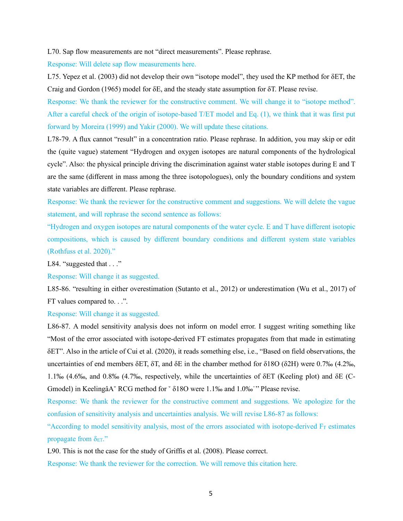L70. Sap flow measurements are not "direct measurements". Please rephrase.

Response: Will delete sap flow measurements here.

L75. Yepez et al. (2003) did not develop their own "isotope model", they used the KP method for δET, the Craig and Gordon (1965) model for δE, and the steady state assumption for δT. Please revise.

Response: We thank the reviewer for the constructive comment. We will change it to "isotope method". After a careful check of the origin of isotope-based T/ET model and Eq. (1), we think that it was first put forward by Moreira (1999) and Yakir (2000). We will update these citations.

L78-79. A flux cannot "result" in a concentration ratio. Please rephrase. In addition, you may skip or edit the (quite vague) statement "Hydrogen and oxygen isotopes are natural components of the hydrological cycle". Also: the physical principle driving the discrimination against water stable isotopes during E and T are the same (different in mass among the three isotopologues), only the boundary conditions and system state variables are different. Please rephrase.

Response: We thank the reviewer for the constructive comment and suggestions. We will delete the vague statement, and will rephrase the second sentence as follows:

"Hydrogen and oxygen isotopes are natural components of the water cycle. E and T have different isotopic compositions, which is caused by different boundary conditions and different system state variables (Rothfuss et al. 2020)."

L84. "suggested that . . ."

Response: Will change it as suggested.

L85-86. "resulting in either overestimation (Sutanto et al., 2012) or underestimation (Wu et al., 2017) of FT values compared to. . .".

Response: Will change it as suggested.

L86-87. A model sensitivity analysis does not inform on model error. I suggest writing something like "Most of the error associated with isotope-derived FT estimates propagates from that made in estimating δET". Also in the article of Cui et al. (2020), it reads something else, i.e., "Based on field observations, the uncertainties of end members δET, δT, and δE in the chamber method for δ18O (δ2H) were 0.7‰ (4.2‰, 1.1‰ (4.6‰, and 0.8‰ (4.7‰, respectively, while the uncertainties of δET (Keeling plot) and δE (C-Gmodel) in KeelingâA˘ RCG method for ˇ δ18O were 1.1‰ and 1.0‰˙'' Please revise.

Response: We thank the reviewer for the constructive comment and suggestions. We apologize for the confusion of sensitivity analysis and uncertainties analysis. We will revise L86-87 as follows:

"According to model sensitivity analysis, most of the errors associated with isotope-derived  $F_T$  estimates propagate from  $\delta_{ET}$ ."

L90. This is not the case for the study of Griffis et al. (2008). Please correct.

Response: We thank the reviewer for the correction. We will remove this citation here.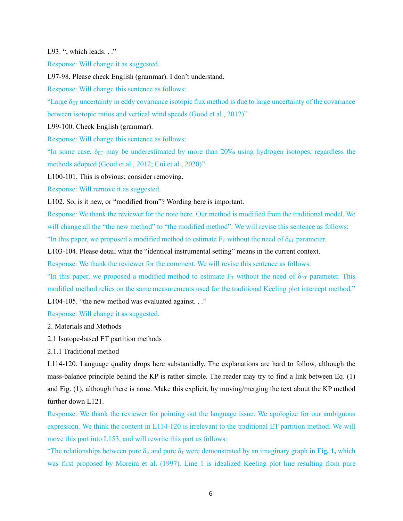L93. ", which leads. . ."

Response: Will change it as suggested.

L97-98. Please check English (grammar). I don't understand.

Response: Will change this sentence as follows:

"Large  $\delta_{ET}$  uncertainty in eddy covariance isotopic flux method is due to large uncertainty of the covariance between isotopic ratios and vertical wind speeds (Good et al., 2012)"

L99-100. Check English (grammar).

Response: Will change this sentence as follows:

"In some case,  $\delta_{ET}$  may be underestimated by more than 20% using hydrogen isotopes, regardless the methods adopted (Good et al., 2012; Cui et al., 2020)"

L100-101. This is obvious; consider removing.

Response: Will remove it as suggested.

L102. So, is it new, or "modified from"? Wording here is important.

Response: We thank the reviewer for the note here. Our method is modified from the traditional model. We will change all the "the new method" to "the modified method". We will revise this sentence as follows: "In this paper, we proposed a modified method to estimate  $F_T$  without the need of  $\delta_{ET}$  parameter.

L103-104. Please detail what the "identical instrumental setting" means in the current context.

Response: We thank the reviewer for the comment. We will revise this sentence as follows:

"In this paper, we proposed a modified method to estimate  $F<sub>T</sub>$  without the need of  $\delta_{ET}$  parameter. This modified method relies on the same measurements used for the traditional Keeling plot intercept method."

L104-105. "the new method was evaluated against..."

Response: Will change it as suggested.

2. Materials and Methods

- 2.1 Isotope-based ET partition methods
- 2.1.1 Traditional method

L114-120. Language quality drops here substantially. The explanations are hard to follow, although the mass-balance principle behind the KP is rather simple. The reader may try to find a link between Eq. (1) and Fig. (1), although there is none. Make this explicit, by moving/merging the text about the KP method further down L121.

Response: We thank the reviewer for pointing out the language issue. We apologize for our ambiguous expression. We think the content in L114-120 is irrelevant to the traditional ET partition method. We will move this part into L153, and will rewrite this part as follows:

"The relationships between pure  $\delta_E$  and pure  $\delta_T$  were demonstrated by an imaginary graph in **Fig. 1,** which was first proposed by Moreira et al. (1997). Line 1 is idealized Keeling plot line resulting from pure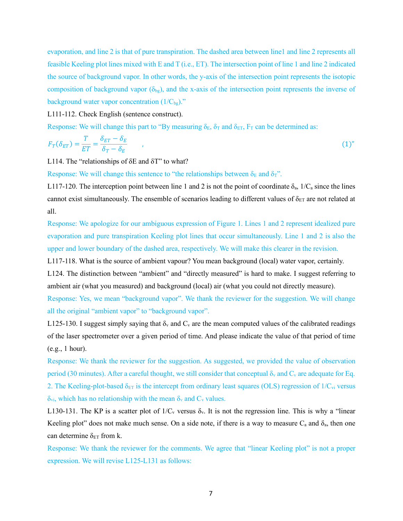evaporation, and line 2 is that of pure transpiration. The dashed area between line1 and line 2 represents all feasible Keeling plot lines mixed with E and T (i.e., ET). The intersection point of line 1 and line 2 indicated the source of background vapor. In other words, the y-axis of the intersection point represents the isotopic composition of background vapor  $(\delta_{bg})$ , and the x-axis of the intersection point represents the inverse of background water vapor concentration  $(1/C_{bg})$ ."

L111-112. Check English (sentence construct).

Response: We will change this part to "By measuring  $\delta_{E}$ ,  $\delta_{T}$  and  $\delta_{ET}$ ,  $F_{T}$  can be determined as:

$$
F_T(\delta_{ET}) = \frac{T}{ET} = \frac{\delta_{ET} - \delta_E}{\delta_T - \delta_E} \tag{1}
$$

L114. The "relationships of  $\delta E$  and  $\delta T$ " to what?

Response: We will change this sentence to "the relationships between  $\delta_E$  and  $\delta_T$ ".

L117-120. The interception point between line 1 and 2 is not the point of coordinate  $\delta_a$ , 1/C<sub>a</sub> since the lines cannot exist simultaneously. The ensemble of scenarios leading to different values of  $\delta_{ET}$  are not related at all.

Response: We apologize for our ambiguous expression of Figure 1. Lines 1 and 2 represent idealized pure evaporation and pure transpiration Keeling plot lines that occur simultaneously. Line 1 and 2 is also the upper and lower boundary of the dashed area, respectively. We will make this clearer in the revision.

L117-118. What is the source of ambient vapour? You mean background (local) water vapor, certainly.

L124. The distinction between "ambient" and "directly measured" is hard to make. I suggest referring to ambient air (what you measured) and background (local) air (what you could not directly measure).

Response: Yes, we mean "background vapor". We thank the reviewer for the suggestion. We will change all the original "ambient vapor" to "background vapor".

L125-130. I suggest simply saying that  $\delta_v$  and  $C_v$  are the mean computed values of the calibrated readings of the laser spectrometer over a given period of time. And please indicate the value of that period of time (e.g., 1 hour).

Response: We thank the reviewer for the suggestion. As suggested, we provided the value of observation period (30 minutes). After a careful thought, we still consider that conceptual  $\delta_y$  and  $C_y$  are adequate for Eq. 2. The Keeling-plot-based  $\delta_{ET}$  is the intercept from ordinary least squares (OLS) regression of  $1/C_{vi}$  versus  $\delta_{\rm vi}$ , which has no relationship with the mean  $\delta_{\rm v}$  and  $C_{\rm v}$  values.

L130-131. The KP is a scatter plot of  $1/C_v$  versus  $\delta_v$ . It is not the regression line. This is why a "linear" Keeling plot" does not make much sense. On a side note, if there is a way to measure  $C_a$  and  $\delta_a$ , then one can determine  $\delta_{ET}$  from k.

Response: We thank the reviewer for the comments. We agree that "linear Keeling plot" is not a proper expression. We will revise L125-L131 as follows: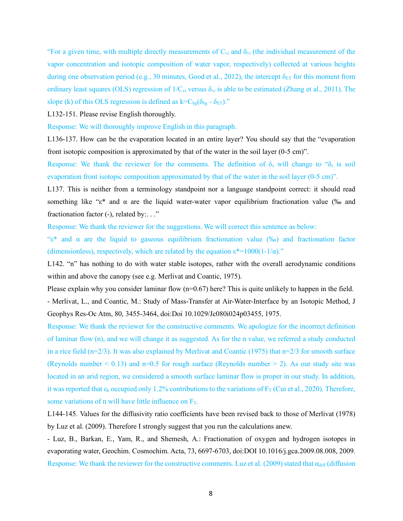"For a given time, with multiple directly measurements of  $C_{vi}$  and  $\delta_{vi}$  (the individual measurement of the vapor concentration and isotopic composition of water vapor, respectively) collected at various heights during one observation period (e.g., 30 minutes, Good et al., 2012), the intercept  $\delta_{ET}$  for this moment from ordinary least squares (OLS) regression of  $1/C_{vi}$  versus  $\delta_{vi}$  is able to be estimated (Zhang et al., 2011). The slope (k) of this OLS regression is defined as  $k=C_{bg}(\delta_{bg} - \delta_{ET})$ ."

L132-151. Please revise English thoroughly.

Response: We will thoroughly improve English in this paragraph.

L136-137. How can be the evaporation located in an entire layer? You should say that the "evaporation front isotopic composition is approximated by that of the water in the soil layer (0-5 cm)".

Response: We thank the reviewer for the comments. The definition of  $\delta_s$  will change to " $\delta_s$  is soil evaporation front isotopic composition approximated by that of the water in the soil layer (0-5 cm)".

L137. This is neither from a terminology standpoint nor a language standpoint correct: it should read something like "ε\* and  $\alpha$  are the liquid water-water vapor equilibrium fractionation value (% and fractionation factor (-), related by:. . ."

Response: We thank the reviewer for the suggestions. We will correct this sentence as below:

"ε\* and α are the liquid to gaseous equilibrium fractionation value (‰) and fractionation factor (dimensionless), respectively, which are related by the equation  $\varepsilon^*$ =1000(1-1/α)."

L142. "n" has nothing to do with water stable isotopes, rather with the overall aerodynamic conditions within and above the canopy (see e.g. Merlivat and Coantic, 1975).

Please explain why you consider laminar flow  $(n=0.67)$  here? This is quite unlikely to happen in the field. - Merlivat, L., and Coantic, M.: Study of Mass-Transfer at Air-Water-Interface by an Isotopic Method, J Geophys Res-Oc Atm, 80, 3455-3464, doi:Doi 10.1029/Jc080i024p03455, 1975.

Response: We thank the reviewer for the constructive comments. We apologize for the incorrect definition of laminar flow (n), and we will change it as suggested. As for the n value, we referred a study conducted in a rice field ( $n=2/3$ ). It was also explained by Merlivat and Coantic (1975) that  $n=2/3$  for smooth surface (Reynolds number  $< 0.13$ ) and n=0.5 for rough surface (Reynolds number  $> 2$ ). As our study site was located in an arid region, we considered a smooth surface laminar flow is proper in our study. In addition, it was reported that  $\varepsilon_k$  occupied only 1.2% contributions to the variations of  $F_T$  (Cui et al., 2020). Therefore, some variations of n will have little influence on  $F_T$ .

L144-145. Values for the diffusivity ratio coefficients have been revised back to those of Merlivat (1978) by Luz et al. (2009). Therefore I strongly suggest that you run the calculations anew.

- Luz, B., Barkan, E., Yam, R., and Shemesh, A.: Fractionation of oxygen and hydrogen isotopes in evaporating water, Geochim. Cosmochim. Acta, 73, 6697-6703, doi:DOI 10.1016/j.gca.2009.08.008, 2009. Response: We thank the reviewer for the constructive comments. Luz et al. (2009) stated that  $\alpha_{\text{diff}}$  (diffusion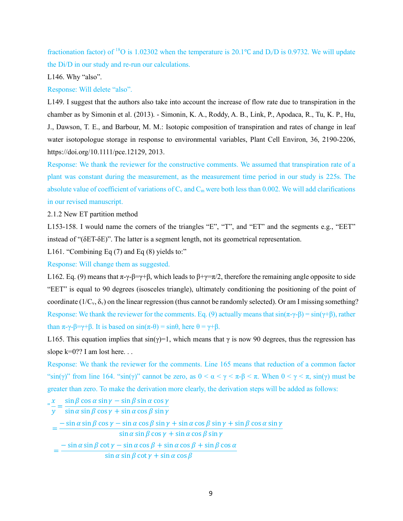fractionation factor) of <sup>18</sup>O is 1.02302 when the temperature is 20.1°C and D<sub>i</sub>/D is 0.9732. We will update the Di/D in our study and re-run our calculations.

L146. Why "also".

Response: Will delete "also".

L149. I suggest that the authors also take into account the increase of flow rate due to transpiration in the chamber as by Simonin et al. (2013). - Simonin, K. A., Roddy, A. B., Link, P., Apodaca, R., Tu, K. P., Hu, J., Dawson, T. E., and Barbour, M. M.: Isotopic composition of transpiration and rates of change in leaf water isotopologue storage in response to environmental variables, Plant Cell Environ, 36, 2190-2206, https://doi.org/10.1111/pce.12129, 2013.

Response: We thank the reviewer for the constructive comments. We assumed that transpiration rate of a plant was constant during the measurement, as the measurement time period in our study is 225s. The absolute value of coefficient of variations of  $C_v$  and  $C_m$  were both less than 0.002. We will add clarifications in our revised manuscript.

2.1.2 New ET partition method

L153-158. I would name the corners of the triangles "E", "T", and "ET" and the segments e.g., "EET" instead of "(δET-δE)". The latter is a segment length, not its geometrical representation.

L161. "Combining Eq  $(7)$  and Eq  $(8)$  yields to:"

Response: Will change them as suggested.

L162. Eq. (9) means that  $\pi-\gamma-\beta=\gamma+\beta$ , which leads to  $\beta+\gamma=\pi/2$ , therefore the remaining angle opposite to side "EET" is equal to 90 degrees (isosceles triangle), ultimately conditioning the positioning of the point of coordinate ( $1/C_v$ ,  $\delta_v$ ) on the linear regression (thus cannot be randomly selected). Or am I missing something? Response: We thank the reviewer for the comments. Eq. (9) actually means that  $sin(\pi-\gamma-\beta) = sin(\gamma+\beta)$ , rather than  $\pi$ -γ-β=γ+β. It is based on  $\sin(\pi$ -θ) =  $\sin\theta$ , here  $\theta = \gamma + \beta$ .

L165. This equation implies that  $\sin(\gamma)=1$ , which means that  $\gamma$  is now 90 degrees, thus the regression has slope k=0?? I am lost here...

Response: We thank the reviewer for the comments. Line 165 means that reduction of a common factor " $\sin(\gamma)$ " from line 164. " $\sin(\gamma)$ " cannot be zero, as  $0 < \alpha < \gamma < \pi - \beta < \pi$ . When  $0 < \gamma < \pi$ ,  $\sin(\gamma)$  must be greater than zero. To make the derivation more clearly, the derivation steps will be added as follows:

$$
\frac{\partial}{\partial x} = \frac{\sin \beta \cos \alpha \sin \gamma - \sin \beta \sin \alpha \cos \gamma}{\sin \alpha \sin \beta \cos \gamma + \sin \alpha \cos \beta \sin \gamma}
$$
  
= 
$$
\frac{-\sin \alpha \sin \beta \cos \gamma - \sin \alpha \cos \beta \sin \gamma + \sin \alpha \cos \beta \sin \gamma + \sin \beta \cos \alpha \sin \gamma}{\sin \alpha \sin \beta \cos \gamma + \sin \alpha \cos \beta \sin \gamma}
$$
  
= 
$$
\frac{-\sin \alpha \sin \beta \cot \gamma - \sin \alpha \cos \beta + \sin \alpha \cos \beta + \sin \beta \cos \alpha}{\sin \alpha \sin \beta \cot \gamma + \sin \alpha \cos \beta}
$$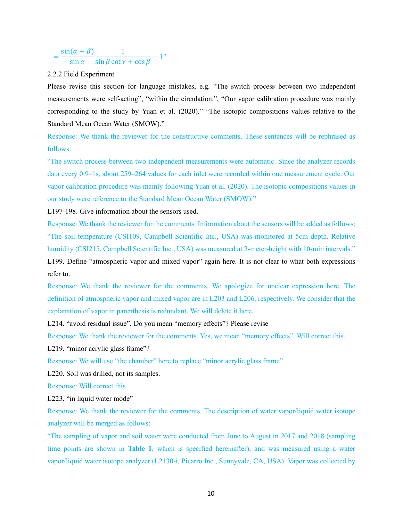#### $=\frac{\sin(\alpha + \beta)}{\sin \alpha}$ 1  $\frac{1}{\sin \beta \cot \gamma + \cos \beta} - 1$ "

# 2.2.2 Field Experiment

Please revise this section for language mistakes, e.g. "The switch process between two independent measurements were self-acting", "within the circulation.", "Our vapor calibration procedure was mainly corresponding to the study by Yuan et al. (2020)." "The isotopic compositions values relative to the Standard Mean Ocean Water (SMOW)."

Response: We thank the reviewer for the constructive comments. These sentences will be rephrased as follows:

"The switch process between two independent measurements were automatic. Since the analyzer records data every 0.9–1s, about 259–264 values for each inlet were recorded within one measurement cycle. Our vapor calibration procedure was mainly following Yuan et al. (2020). The isotopic compositions values in our study were reference to the Standard Mean Ocean Water (SMOW)."

L197-198. Give information about the sensors used.

Response: We thank the reviewer for the comments. Information about the sensors will be added as follows: "The soil temperature (CSI109, Campbell Scientific Inc., USA) was monitored at 5cm depth. Relative humidity (CSI215, Campbell Scientific Inc., USA) was measured at 2-meter-height with 10-min intervals." L199. Define "atmospheric vapor and mixed vapor" again here. It is not clear to what both expressions refer to.

Response: We thank the reviewer for the comments. We apologize for unclear expression here. The definition of atmospheric vapor and mixed vapor are in L203 and L206, respectively. We consider that the explanation of vapor in parenthesis is redundant. We will delete it here.

L214. "avoid residual issue". Do you mean "memory effects"? Please revise

Response: We thank the reviewer for the comments. Yes, we mean "memory effects". Will correct this.

L219. "minor acrylic glass frame"?

Response: We will use "the chamber" here to replace "minor acrylic glass frame".

L220. Soil was drilled, not its samples.

Response: Will correct this.

L223. "in liquid water mode"

Response: We thank the reviewer for the comments. The description of water vapor/liquid water isotope analyzer will be merged as follows:

"The sampling of vapor and soil water were conducted from June to August in 2017 and 2018 (sampling time points are shown in **Table 1**, which is specified hereinafter), and was measured using a water vapor/liquid water isotope analyzer (L2130-i, Picarro Inc., Sunnyvale, CA, USA). Vapor was collected by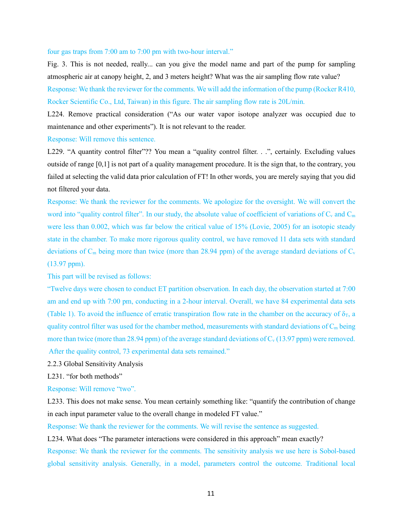### four gas traps from 7:00 am to 7:00 pm with two-hour interval."

Fig. 3. This is not needed, really... can you give the model name and part of the pump for sampling atmospheric air at canopy height, 2, and 3 meters height? What was the air sampling flow rate value?

Response: We thank the reviewer for the comments. We will add the information of the pump (Rocker R410, Rocker Scientific Co., Ltd, Taiwan) in this figure. The air sampling flow rate is 20L/min.

L224. Remove practical consideration ("As our water vapor isotope analyzer was occupied due to maintenance and other experiments"). It is not relevant to the reader.

### Response: Will remove this sentence.

L229. "A quantity control filter"?? You mean a "quality control filter. . .", certainly. Excluding values outside of range [0,1] is not part of a quality management procedure. It is the sign that, to the contrary, you failed at selecting the valid data prior calculation of FT! In other words, you are merely saying that you did not filtered your data.

Response: We thank the reviewer for the comments. We apologize for the oversight. We will convert the word into "quality control filter". In our study, the absolute value of coefficient of variations of  $C_v$  and  $C_m$ were less than 0.002, which was far below the critical value of 15% (Lovie, 2005) for an isotopic steady state in the chamber. To make more rigorous quality control, we have removed 11 data sets with standard deviations of  $C_m$  being more than twice (more than 28.94 ppm) of the average standard deviations of  $C_v$ (13.97 ppm).

This part will be revised as follows:

"Twelve days were chosen to conduct ET partition observation. In each day, the observation started at 7:00 am and end up with 7:00 pm, conducting in a 2-hour interval. Overall, we have 84 experimental data sets (Table 1). To avoid the influence of erratic transpiration flow rate in the chamber on the accuracy of  $\delta_{\rm T}$ , a quality control filter was used for the chamber method, measurements with standard deviations of  $C_m$  being more than twice (more than 28.94 ppm) of the average standard deviations of  $C_v$  (13.97 ppm) were removed. After the quality control, 73 experimental data sets remained."

2.2.3 Global Sensitivity Analysis

L231. "for both methods"

Response: Will remove "two".

L233. This does not make sense. You mean certainly something like: "quantify the contribution of change in each input parameter value to the overall change in modeled FT value."

Response: We thank the reviewer for the comments. We will revise the sentence as suggested.

L234. What does "The parameter interactions were considered in this approach" mean exactly? Response: We thank the reviewer for the comments. The sensitivity analysis we use here is Sobol-based global sensitivity analysis. Generally, in a model, parameters control the outcome. Traditional local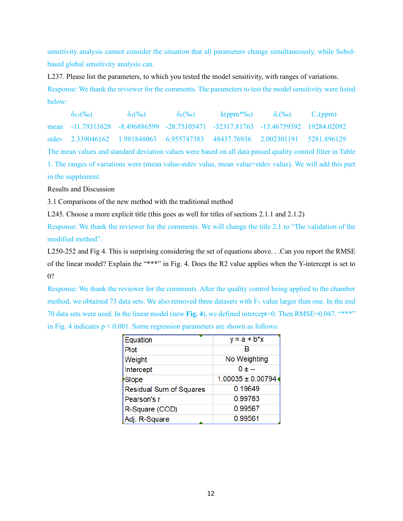sensitivity analysis cannot consider the situation that all parameters change simultaneously, while Sobolbased global sensitivity analysis can.

L237. Please list the parameters, to which you tested the model sensitivity, with ranges of variations. Response: We thank the reviewer for the comments. The parameters to test the model sensitivity were listed below:

| $\delta_{\text{ET}}(\%0)$                                                         | $\delta_{\rm T}(\%$ o) | $\delta_{\rm E}(\%$ <sub>0</sub> | $k(ppm*%$ <sub>0</sub> ) $\delta_v(%$ | $C_v(ppm)$ |
|-----------------------------------------------------------------------------------|------------------------|----------------------------------|---------------------------------------|------------|
| mean -11.79311628 -8.496886599 -28.75105471 -32317.81763 -13.46759392 19284.02092 |                        |                                  |                                       |            |
| stdev 2.339046162 1.981848063 6.955747383 48437.76936 2.002301191 5281.896129     |                        |                                  |                                       |            |
|                                                                                   |                        |                                  |                                       |            |

The mean values and standard deviation values were based on all data passed quality control filter in Table 1. The ranges of variations were (mean value-stdev value, mean value+stdev value). We will add this part in the supplement.

# Results and Discussion

3.1 Comparisons of the new method with the traditional method

L245. Choose a more explicit title (this goes as well for titles of sections 2.1.1 and 2.1.2)

Response: We thank the reviewer for the comments. We will change the title 2.1 to "The validation of the modified method".

L250-252 and Fig 4. This is surprising considering the set of equations above. . .Can you report the RMSE of the linear model? Explain the "\*\*\*" in Fig. 4. Does the R2 value applies when the Y-intercept is set to 0?

Response: We thank the reviewer for the comments. After the quality control being applied to the chamber method, we obtained 73 data sets. We also removed three datasets with  $F<sub>T</sub>$  value larger than one. In the end 70 data sets were used. In the linear model (new **Fig. 4**), we defined intercept=0. Then RMSE=0.047. "\*\*\*" in Fig. 4 indicates  $p \le 0.001$ . Some regression parameters are shown as follows:

| Equation                       | $y = a + b*x$         |  |  |
|--------------------------------|-----------------------|--|--|
| Plot                           | в                     |  |  |
| Weight                         | No Weighting          |  |  |
| Intercept                      | $0 + -$               |  |  |
| <b>Slope</b>                   | $1.00035 \pm 0.00794$ |  |  |
| <b>Residual Sum of Squares</b> | 0.19649               |  |  |
| Pearson's r                    | 0.99783               |  |  |
| R-Square (COD)                 | 0.99567               |  |  |
| Adj. R-Square                  | 0.99561               |  |  |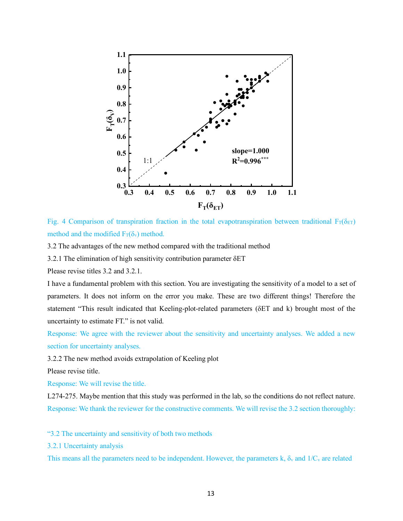

Fig. 4 Comparison of transpiration fraction in the total evapotranspiration between traditional  $F_T(\delta_{ET})$ method and the modified  $F_T(\delta_y)$  method.

3.2 The advantages of the new method compared with the traditional method

3.2.1 The elimination of high sensitivity contribution parameter δET

Please revise titles 3.2 and 3.2.1.

I have a fundamental problem with this section. You are investigating the sensitivity of a model to a set of parameters. It does not inform on the error you make. These are two different things! Therefore the statement "This result indicated that Keeling-plot-related parameters (δET and k) brought most of the uncertainty to estimate FT." is not valid.

Response: We agree with the reviewer about the sensitivity and uncertainty analyses. We added a new section for uncertainty analyses.

3.2.2 The new method avoids extrapolation of Keeling plot

Please revise title.

Response: We will revise the title.

L274-275. Maybe mention that this study was performed in the lab, so the conditions do not reflect nature. Response: We thank the reviewer for the constructive comments. We will revise the 3.2 section thoroughly:

"3.2 The uncertainty and sensitivity of both two methods

3.2.1 Uncertainty analysis

This means all the parameters need to be independent. However, the parameters k,  $\delta_v$  and  $1/C_v$  are related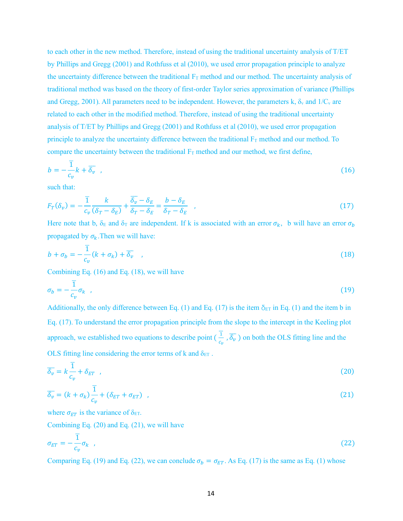to each other in the new method. Therefore, instead of using the traditional uncertainty analysis of T/ET by Phillips and Gregg (2001) and Rothfuss et al (2010), we used error propagation principle to analyze the uncertainty difference between the traditional  $F_T$  method and our method. The uncertainty analysis of traditional method was based on the theory of first-order Taylor series approximation of variance (Phillips and Gregg, 2001). All parameters need to be independent. However, the parameters k,  $\delta_y$  and  $1/C_y$  are related to each other in the modified method. Therefore, instead of using the traditional uncertainty analysis of T/ET by Phillips and Gregg (2001) and Rothfuss et al (2010), we used error propagation principle to analyze the uncertainty difference between the traditional  $F_T$  method and our method. To compare the uncertainty between the traditional  $F_T$  method and our method, we first define,

$$
b = -\frac{\overline{1}}{c_v}k + \overline{\delta_v} \quad , \tag{16}
$$

such that:

$$
F_T(\delta_v) = -\frac{\overline{1}}{c_v} \frac{k}{(\delta_T - \delta_E)} + \frac{\overline{\delta_v} - \delta_E}{\delta_T - \delta_E} = \frac{b - \delta_E}{\delta_T - \delta_E} \quad , \tag{17}
$$

Here note that b,  $\delta_E$  and  $\delta_T$  are independent. If k is associated with an error  $\sigma_k$ , b will have an error  $\sigma_b$ propagated by  $\sigma_k$ . Then we will have:

$$
b + \sigma_b = -\frac{\overline{1}}{c_v}(k + \sigma_k) + \overline{\delta_v} \quad , \tag{18}
$$

Combining Eq. (16) and Eq. (18), we will have

$$
\sigma_b = -\frac{1}{c_v} \sigma_k \quad , \tag{19}
$$

Additionally, the only difference between Eq. (1) and Eq. (17) is the item  $\delta_{ET}$  in Eq. (1) and the item b in Eq. (17). To understand the error propagation principle from the slope to the intercept in the Keeling plot approach, we established two equations to describe point ( $\frac{1}{c_v}$ )  $\frac{1}{c}$ ,  $\overline{\delta_v}$ ) on both the OLS fitting line and the OLS fitting line considering the error terms of k and  $\delta_{ET}$ .

$$
\overline{\delta_v} = k \frac{\overline{1}}{c_v} + \delta_{ET} \quad , \tag{20}
$$

$$
\overline{\delta_v} = (k + \sigma_k) \frac{\overline{1}}{c_v} + (\delta_{ET} + \sigma_{ET}) \quad , \tag{21}
$$

where  $\sigma_{ET}$  is the variance of  $\delta_{ET}$ .

Combining Eq. (20) and Eq. (21), we will have

$$
\sigma_{ET} = -\frac{1}{c_v} \sigma_k \quad , \tag{22}
$$

Comparing Eq. (19) and Eq. (22), we can conclude  $\sigma_b = \sigma_{ET}$ . As Eq. (17) is the same as Eq. (1) whose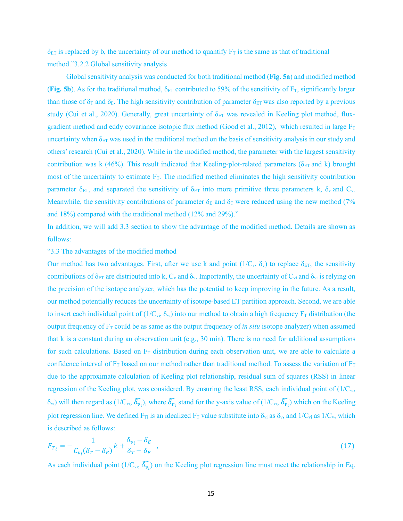$\delta_{ET}$  is replaced by b, the uncertainty of our method to quantify  $F_T$  is the same as that of traditional method."3.2.2 Global sensitivity analysis

Global sensitivity analysis was conducted for both traditional method (**Fig. 5a**) and modified method (**Fig. 5b**). As for the traditional method,  $\delta_{ET}$  contributed to 59% of the sensitivity of  $F_T$ , significantly larger than those of  $\delta_{\rm T}$  and  $\delta_{\rm E}$ . The high sensitivity contribution of parameter  $\delta_{\rm ET}$  was also reported by a previous study (Cui et al., 2020). Generally, great uncertainty of  $\delta_{ET}$  was revealed in Keeling plot method, fluxgradient method and eddy covariance isotopic flux method (Good et al., 2012), which resulted in large  $F_T$ uncertainty when  $\delta_{ET}$  was used in the traditional method on the basis of sensitivity analysis in our study and others' research (Cui et al., 2020). While in the modified method, the parameter with the largest sensitivity contribution was k (46%). This result indicated that Keeling-plot-related parameters ( $\delta_{ET}$  and k) brought most of the uncertainty to estimate  $F_T$ . The modified method eliminates the high sensitivity contribution parameter  $\delta_{ET}$ , and separated the sensitivity of  $\delta_{ET}$  into more primitive three parameters k,  $\delta_{v}$  and C<sub>v</sub>. Meanwhile, the sensitivity contributions of parameter  $\delta_E$  and  $\delta_T$  were reduced using the new method (7%) and 18%) compared with the traditional method (12% and 29%)."

In addition, we will add 3.3 section to show the advantage of the modified method. Details are shown as follows:

# "3.3 The advantages of the modified method

Our method has two advantages. First, after we use k and point  $(1/C_v, \delta_v)$  to replace  $\delta_{ET}$ , the sensitivity contributions of  $\delta_{ET}$  are distributed into k, C<sub>v</sub> and  $\delta_{v}$ . Importantly, the uncertainty of C<sub>vi</sub> and  $\delta_{vi}$  is relying on the precision of the isotope analyzer, which has the potential to keep improving in the future. As a result, our method potentially reduces the uncertainty of isotope-based ET partition approach. Second, we are able to insert each individual point of  $(1/C_{\rm vi}, \delta_{\rm vi})$  into our method to obtain a high frequency  $F_T$  distribution (the output frequency of  $F_T$  could be as same as the output frequency of *in situ* isotope analyzer) when assumed that k is a constant during an observation unit (e.g., 30 min). There is no need for additional assumptions for such calculations. Based on  $F<sub>T</sub>$  distribution during each observation unit, we are able to calculate a confidence interval of  $F_T$  based on our method rather than traditional method. To assess the variation of  $F_T$ due to the approximate calculation of Keeling plot relationship, residual sum of squares (RSS) in linear regression of the Keeling plot, was considered. By ensuring the least RSS, each individual point of (1/Cvi,  $\delta_{\rm vi}$ ) will then regard as (1/C<sub>vi</sub>,  $\widehat{\delta_{v_1}}$ ), where  $\widehat{\delta_{v_1}}$  stand for the y-axis value of (1/C<sub>vi</sub>,  $\widehat{\delta_{v_1}}$ ) which on the Keeling plot regression line. We defined  $F_T$  is an idealized  $F_T$  value substitute into  $\delta_{vi}$  as  $\delta_{v}$ , and  $1/C_{vi}$  as  $1/C_{v}$ , which is described as follows:

$$
F_{T_i} = -\frac{1}{C_{\nu_i}(\delta_T - \delta_E)}k + \frac{\delta_{\nu_i} - \delta_E}{\delta_T - \delta_E} \tag{17}
$$

As each individual point (1/C<sub>vi</sub>,  $\widehat{\delta_{v_i}}$ ) on the Keeling plot regression line must meet the relationship in Eq.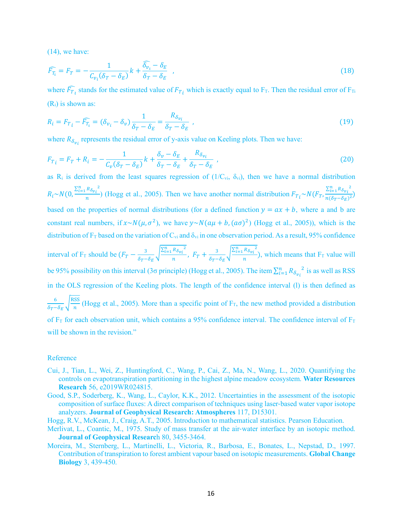(14), we have:

$$
\widehat{F_{T_1}} = F_T = -\frac{1}{C_{\nu_i}(\delta_T - \delta_E)}k + \frac{\widehat{\delta_{\nu_i}} - \delta_E}{\delta_T - \delta_E} \quad , \tag{18}
$$

where  $\widehat{F}_{T_i}$  stands for the estimated value of  $F_{T_i}$  which is exactly equal to F<sub>T</sub>. Then the residual error of F<sub>Ti</sub>  $(R<sub>i</sub>)$  is shown as:

$$
R_i = F_{T_i} - \widehat{F_{T_i}} = (\delta_{\nu_i} - \delta_{\nu}) \frac{1}{\delta_T - \delta_E} = \frac{R_{\delta_{\nu_i}}}{\delta_T - \delta_E} \tag{19}
$$

where  $R_{\delta_{\nu_i}}$  represents the residual error of y-axis value on Keeling plots. Then we have:

$$
F_{T_i} = F_T + R_i = -\frac{1}{C_v(\delta_T - \delta_E)}k + \frac{\delta_v - \delta_E}{\delta_T - \delta_E} + \frac{R_{\delta_{v_i}}}{\delta_T - \delta_E} \tag{20}
$$

as R<sub>i</sub> is derived from the least squares regression of  $(1/C_{vi}, \delta_{vi})$ , then we have a normal distribution  $R_i \sim N(0, \frac{\sum_{i=1}^{n} R_{\delta_{vi}}^2}{n})$  $\frac{R_{\delta v_i}^2}{n}$ ) (Hogg et al., 2005). Then we have another normal distribution  $F_{T_i} \sim N(F_T, \frac{\sum_{i=1}^n R_{\delta v_i}^2}{n(\delta_T - \delta_E)^2})$  $\frac{2i(1-\delta_{vi})}{n(\delta_T-\delta_E)^2}$ based on the properties of normal distributions (for a defined function  $y = ax + b$ , where a and b are constant real numbers, if  $x \sim N(\mu, \sigma^2)$ , we have  $y \sim N(a\mu + b, (a\sigma)^2)$  (Hogg et al., 2005)), which is the distribution of  $F_T$  based on the variation of  $C_{vi}$  and  $\delta_{vi}$  in one observation period. As a result, 95% confidence interval of F<sub>T</sub> should be  $(F_T - \frac{3}{\delta_T - \delta_E})$  $\sqrt{\frac{\sum_{i=1}^{n} R_{\delta_{\nu_i}}^2}{n}}$ ,  $F_T + \frac{3}{\delta_T - \delta_E}$  $\sqrt{\frac{\sum_{i=1}^n R_{\delta_{vi}}^2}{n}}$  $\frac{n_{opt}}{n}$ ), which means that F<sub>T</sub> value will be 95% possibility on this interval (3 $\sigma$  principle) (Hogg et al., 2005). The item  $\sum_{i=1}^{n} R_{\delta_{v_i}}^2$  is as well as RSS in the OLS regression of the Keeling plots. The length of the confidence interval (l) is then defined as

 $\overline{6}$  $\frac{6}{6r^2 - 6E}$  (Hogg et al., 2005). More than a specific point of F<sub>T</sub>, the new method provided a distribution of  $F_T$  for each observation unit, which contains a 95% confidence interval. The confidence interval of  $F_T$ will be shown in the revision."

# Reference

- Cui, J., Tian, L., Wei, Z., Huntingford, C., Wang, P., Cai, Z., Ma, N., Wang, L., 2020. Quantifying the controls on evapotranspiration partitioning in the highest alpine meadow ecosystem. **Water Resources Research** 56, e2019WR024815.
- Good, S.P., Soderberg, K., Wang, L., Caylor, K.K., 2012. Uncertainties in the assessment of the isotopic composition of surface fluxes: A direct comparison of techniques using laser-based water vapor isotope analyzers. **Journal of Geophysical Research: Atmospheres** 117, D15301.
- Hogg, R.V., McKean, J., Craig, A.T., 2005. Introduction to mathematical statistics. Pearson Education.
- Merlivat, L., Coantic, M., 1975. Study of mass transfer at the air-water interface by an isotopic method. **Journal of Geophysical Researc**h 80, 3455-3464.
- Moreira, M., Sternberg, L., Martinelli, L., Victoria, R., Barbosa, E., Bonates, L., Nepstad, D., 1997. Contribution of transpiration to forest ambient vapour based on isotopic measurements. **Global Change Biology** 3, 439-450.